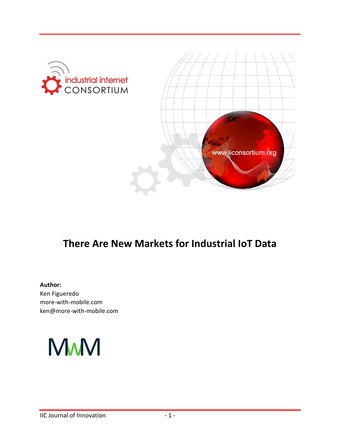



# **There Are New Markets for Industrial IoT Data**

#### **Author:**

Ken Figueredo more-with-mobile.com ken@more-with-mobile.com

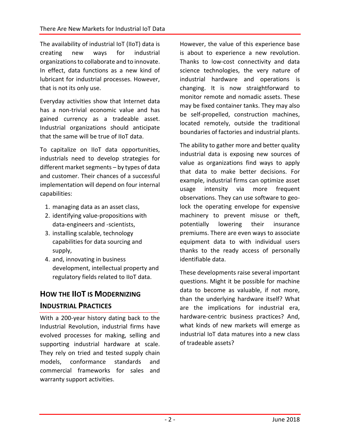The availability of industrial IoT (IIoT) data is creating new ways for industrial organizations to collaborate and to innovate. In effect, data functions as a new kind of lubricant for industrial processes. However, that is not its only use.

Everyday activities show that Internet data has a non-trivial economic value and has gained currency as a tradeable asset. Industrial organizations should anticipate that the same will be true of IIoT data.

To capitalize on IIoT data opportunities, industrials need to develop strategies for different market segments – by types of data and customer. Their chances of a successful implementation will depend on four internal capabilities:

- 1. managing data as an asset class,
- 2. identifying value-propositions with data-engineers and -scientists,
- 3. installing scalable, technology capabilities for data sourcing and supply,
- 4. and, innovating in business development, intellectual property and regulatory fields related to IIoT data.

# **HOW THE IIOT IS MODERNIZING INDUSTRIAL PRACTICES**

With a 200-year history dating back to the Industrial Revolution, industrial firms have evolved processes for making, selling and supporting industrial hardware at scale. They rely on tried and tested supply chain models, conformance standards and commercial frameworks for sales and warranty support activities.

However, the value of this experience base is about to experience a new revolution. Thanks to low-cost connectivity and data science technologies, the very nature of industrial hardware and operations is changing. It is now straightforward to monitor remote and nomadic assets. These may be fixed container tanks. They may also be self-propelled, construction machines, located remotely, outside the traditional boundaries of factories and industrial plants.

The ability to gather more and better quality industrial data is exposing new sources of value as organizations find ways to apply that data to make better decisions. For example, industrial firms can optimize asset usage intensity via more frequent observations. They can use software to geolock the operating envelope for expensive machinery to prevent misuse or theft, potentially lowering their insurance premiums. There are even ways to associate equipment data to with individual users thanks to the ready access of personally identifiable data.

These developments raise several important questions. Might it be possible for machine data to become as valuable, if not more, than the underlying hardware itself? What are the implications for industrial era, hardware-centric business practices? And, what kinds of new markets will emerge as industrial IoT data matures into a new class of tradeable assets?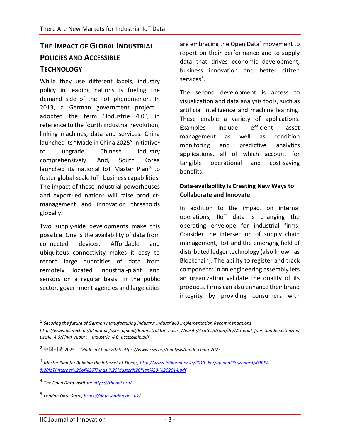## **THE IMPACT OF GLOBAL INDUSTRIAL POLICIES AND ACCESSIBLE TECHNOLOGY**

While they use different labels, industry policy in leading nations is fueling the demand side of the IIoT phenomenon. In 2013, a German government project  $1$ adopted the term "Industrie 4.0", in reference to the fourth industrial revolution, linking machines, data and services. China launched its "Made in China 2025" initiative<sup>2</sup> to upgrade Chinese industry comprehensively. And, South Korea launched its national IoT Master Plan<sup>3</sup> to foster global-scale IoT- business capabilities. The impact of these industrial powerhouses and export-led nations will raise productmanagement and innovation thresholds globally.

Two supply-side developments make this possible. One is the availability of data from connected devices. Affordable and ubiquitous connectivity makes it easy to record large quantities of data from remotely located industrial-plant and sensors on a regular basis. In the public sector, government agencies and large cities are embracing the Open Data<sup>4</sup> movement to report on their performance and to supply data that drives economic development, business innovation and better citizen services<sup>5</sup>.

The second development is access to visualization and data analysis tools, such as artificial intelligence and machine learning. These enable a variety of applications. Examples include efficient asset management as well as condition monitoring and predictive analytics applications, all of which account for tangible operational and cost-saving benefits.

#### **Data-availability is Creating New Ways to Collaborate and Innovate**

In addition to the impact on internal operations, IIoT data is changing the operating envelope for industrial firms. Consider the intersection of supply chain management, IIoT and the emerging field of distributed ledger technology (also known as Blockchain). The ability to register and track components in an engineering assembly lets an organization validate the quality of its products. Firms can also enhance their brand integrity by providing consumers with

 $\overline{a}$ 

<sup>&</sup>lt;sup>1</sup> Securing the future of German manufacturing industry: Industrie40 Implementation Recommendations *http://www.acatech.de/fileadmin/user\_upload/Baumstruktur\_nach\_Website/Acatech/root/de/Material\_fuer\_Sonderseiten/Ind ustrie\_4.0/Final\_report\_\_Industrie\_4.0\_accessible.pdf*

<sup>2</sup> 中国制造 2025 *- "Made in China 2025 https://www.csis.org/analysis/made-china-2025*

*<sup>3</sup> Master Plan for Building the Internet of Things, [http://www.iotkorea.or.kr/2013\\_kor/uploadFiles/board/KOREA-](http://www.iotkorea.or.kr/2013_kor/uploadFiles/board/KOREA-%20IoT(Internet%20of%20Things)%20Master%20Plan%20-%202014.pdf) [%20IoT\(Internet%20of%20Things\)%20Master%20Plan%20-%202014.pdf](http://www.iotkorea.or.kr/2013_kor/uploadFiles/board/KOREA-%20IoT(Internet%20of%20Things)%20Master%20Plan%20-%202014.pdf)*

*<sup>4</sup> The Open Data Institute<https://theodi.org/>*

*<sup>5</sup> London Data Store,<https://data.london.gov.uk/>*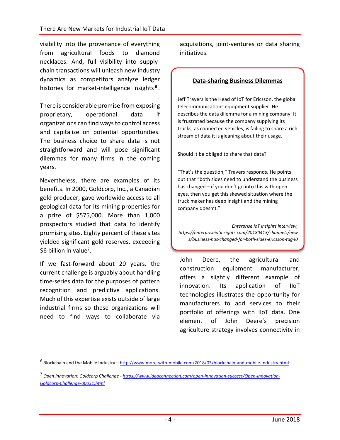visibility into the provenance of everything from agricultural foods to diamond necklaces. And, full visibility into supplychain transactions will unleash new industry dynamics as competitors analyze ledger histories for market-intelligence insights **<sup>6</sup>** .

There is considerable promise from exposing proprietary, operational data if organizations can find ways to control access and capitalize on potential opportunities. The business choice to share data is not straightforward and will pose significant dilemmas for many firms in the coming years.

Nevertheless, there are examples of its benefits. In 2000, Goldcorp, Inc., a Canadian gold producer, gave worldwide access to all geological data for its mining properties for a prize of \$575,000. More than 1,000 prospectors studied that data to identify promising sites. Eighty percent of these sites yielded significant gold reserves, exceeding \$6 billion in value<sup>7</sup>.

If we fast-forward about 20 years, the current challenge is arguably about handling time-series data for the purposes of pattern recognition and predictive applications. Much of this expertise exists outside of large industrial firms so these organizations will need to find ways to collaborate via

 $\overline{a}$ 

acquisitions, joint-ventures or data sharing initiatives.

#### **Data-sharing Business Dilemmas**

Jeff Travers is the Head of IoT for Ericsson, the global telecommunications equipment supplier. He describes the data dilemma for a mining company. It is frustrated because the company supplying its trucks, as connected vehicles, is failing to share a rich stream of data it is gleaning about their usage.

Should it be obliged to share that data?

"That's the question," Travers responds. He points out that "both sides need to understand the business has changed – if you don't go into this with open eyes, then you get this skewed situation where the truck maker has deep insight and the mining company doesn't."

*Enterprise IoT Insights interview, https://enterpriseiotinsights.com/20180413/channels/new s/business-has-changed-for-both-sides-ericsson-tag40*

John Deere, the agricultural and construction equipment manufacturer, offers a slightly different example of innovation. Its application of IIoT technologies illustrates the opportunity for manufacturers to add services to their portfolio of offerings with IIoT data. One element of John Deere's precision agriculture strategy involves connectivity in

<sup>&</sup>lt;sup>6</sup> Blockchain and the Mobile Industry – <u><http://www.more-with-mobile.com/2018/03/blockchain-and-mobile-industry.html></u>

<sup>7</sup> *Open Innovation: Goldcorp Challenge - [https://www.ideaconnection.com/open-innovation-success/Open-Innovation-](https://www.ideaconnection.com/open-innovation-success/Open-Innovation-Goldcorp-Challenge-00031.html)[Goldcorp-Challenge-00031.html](https://www.ideaconnection.com/open-innovation-success/Open-Innovation-Goldcorp-Challenge-00031.html)*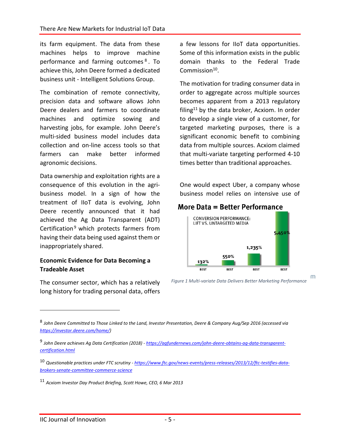its farm equipment. The data from these machines helps to improve machine performance and farming outcomes<sup>8</sup>. To achieve this, John Deere formed a dedicated business unit - Intelligent Solutions Group.

The combination of remote connectivity, precision data and software allows John Deere dealers and farmers to coordinate machines and optimize sowing and harvesting jobs, for example. John Deere's multi-sided business model includes data collection and on-line access tools so that farmers can make better informed agronomic decisions.

Data ownership and exploitation rights are a consequence of this evolution in the agribusiness model. In a sign of how the treatment of IIoT data is evolving, John Deere recently announced that it had achieved the Ag Data Transparent (ADT) Certification<sup>9</sup> which protects farmers from having their data being used against them or inappropriately shared.

#### **Economic Evidence for Data Becoming a Tradeable Asset**

The consumer sector, which has a relatively long history for trading personal data, offers

a few lessons for IIoT data opportunities. Some of this information exists in the public domain thanks to the Federal Trade Commission<sup>10</sup>.

The motivation for trading consumer data in order to aggregate across multiple sources becomes apparent from a 2013 regulatory filing<sup>11</sup> by the data broker, Acxiom. In order to develop a single view of a customer, for targeted marketing purposes, there is a significant economic benefit to combining data from multiple sources. Acxiom claimed that multi-variate targeting performed 4-10 times better than traditional approaches.

One would expect Uber, a company whose business model relies on intensive use of

#### More Data = Better Performance



*Figure 1 Multi-variate Data Delivers Better Marketing Performance*

m

 $\overline{a}$ 

<sup>8</sup> *John Deere Committed to Those Linked to the Land, Investor Presentation, Deere & Company Aug/Sep 2016 (accessed via [https://investor.deere.com/home/\)](https://investor.deere.com/home/)*

<sup>9</sup> *John Deere achieves Ag Data Certification (2018) - [https://agfundernews.com/john-deere-obtains-ag-data-transparent](https://agfundernews.com/john-deere-obtains-ag-data-transparent-certification.html)[certification.html](https://agfundernews.com/john-deere-obtains-ag-data-transparent-certification.html)*

<sup>10</sup> *Questionable practices under FTC scrutiny - [https://www.ftc.gov/news-events/press-releases/2013/12/ftc-testifies-data](https://www.ftc.gov/news-events/press-releases/2013/12/ftc-testifies-data-brokers-senate-committee-commerce-science)[brokers-senate-committee-commerce-science](https://www.ftc.gov/news-events/press-releases/2013/12/ftc-testifies-data-brokers-senate-committee-commerce-science)*

<sup>11</sup> *Acxiom Investor Day Product Briefing, Scott Howe, CEO, 6 Mar 2013*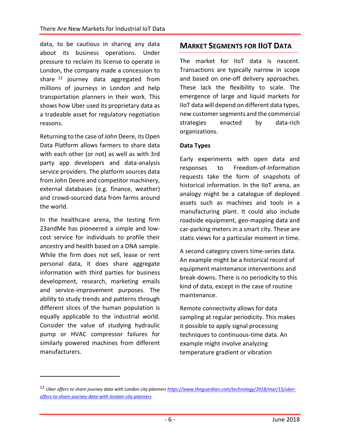data, to be cautious in sharing any data about its business operations. Under pressure to reclaim its license to operate in London, the company made a concession to share  $12$  journey data aggregated from millions of journeys in London and help transportation planners in their work. This shows how Uber used its proprietary data as a tradeable asset for regulatory negotiation reasons.

Returning to the case of John Deere, its Open Data Platform allows farmers to share data with each other (or not) as well as with 3rd party app developers and data-analysis service providers. The platform sources data from John Deere and competitor machinery, external databases (e.g. finance, weather) and crowd-sourced data from farms around the world.

In the healthcare arena, the testing firm 23andMe has pioneered a simple and lowcost service for individuals to profile their ancestry and health based on a DNA sample. While the firm does not sell, lease or rent personal data, it does share aggregate information with third parties for business development, research, marketing emails and service-improvement purposes. The ability to study trends and patterns through different slices of the human population is equally applicable to the industrial world. Consider the value of studying hydraulic pump or HVAC compressor failures for similarly powered machines from different manufacturers.

 $\overline{a}$ 

### **MARKET SEGMENTS FOR IIOT DATA**

The market for IIoT data is nascent. Transactions are typically narrow in scope and based on one-off delivery approaches. These lack the flexibility to scale. The emergence of large and liquid markets for IIoT data will depend on different data types, new customer segments and the commercial strategies enacted by data-rich organizations.

#### **Data Types**

Early experiments with open data and responses to Freedom-of-Information requests take the form of snapshots of historical information. In the IIoT arena, an analogy might be a catalogue of deployed assets such as machines and tools in a manufacturing plant. It could also include roadside equipment, geo-mapping data and car-parking meters in a smart city. These are static views for a particular moment in time.

A second category covers time-series data. An example might be a historical record of equipment maintenance interventions and break-downs. There is no periodicity to this kind of data, except in the case of routine maintenance.

Remote connectivity allows for data sampling at regular periodicity. This makes it possible to apply signal processing techniques to continuous-time data. An example might involve analyzing temperature gradient or vibration

<sup>12</sup> *Uber offers to share journey data with London city planner[s https://www.theguardian.com/technology/2018/mar/15/uber](https://www.theguardian.com/technology/2018/mar/15/uber-offers-to-share-journey-data-with-london-city-planners)[offers-to-share-journey-data-with-london-city-planners](https://www.theguardian.com/technology/2018/mar/15/uber-offers-to-share-journey-data-with-london-city-planners)*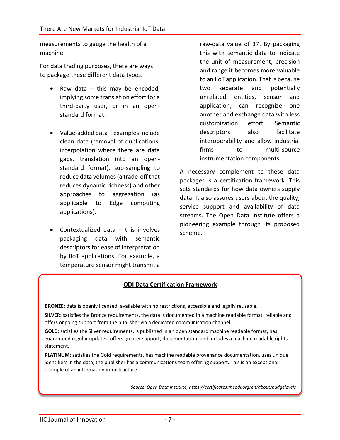measurements to gauge the health of a machine.

For data trading purposes, there are ways to package these different data types.

- Raw data  $-$  this may be encoded, implying some translation effort for a third-party user, or in an openstandard format.
- Value-added data examples include clean data (removal of duplications, interpolation where there are data gaps, translation into an openstandard format), sub-sampling to reduce data volumes (a trade-off that reduces dynamic richness) and other approaches to aggregation (as applicable to Edge computing applications).
- Contextualized data this involves packaging data with semantic descriptors for ease of interpretation by IIoT applications. For example, a temperature sensor might transmit a

raw-data value of 37. By packaging this with semantic data to indicate the unit of measurement, precision and range it becomes more valuable to an IIoT application. That is because two separate and potentially unrelated entities, sensor and application, can recognize one another and exchange data with less customization effort. Semantic descriptors also facilitate interoperability and allow industrial firms to multi-source instrumentation components.

A necessary complement to these data packages is a certification framework. This sets standards for how data owners supply data. It also assures users about the quality, service support and availability of data streams. The Open Data Institute offers a pioneering example through its proposed scheme.

#### **ODI Data Certification Framework**

**BRONZE:** data is openly licensed, available with no restrictions, accessible and legally reusable.

**SILVER:** satisfies the Bronze requirements, the data is documented in a machine readable format, reliable and offers ongoing support from the publisher via a dedicated communication channel.

**GOLD:** satisfies the Silver requirements, is published in an open standard machine readable format, has guaranteed regular updates, offers greater support, documentation, and includes a machine readable rights statement.

**PLATINUM:** satisfies the Gold requirements, has machine readable provenance documentation, uses unique identifiers in the data, the publisher has a communications team offering support. This is an exceptional example of an information infrastructure

*Source: Open Data Institute, https://certificates.theodi.org/en/about/badgelevels*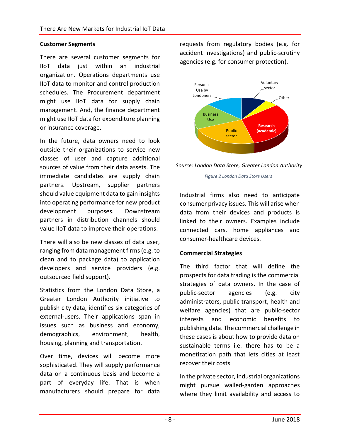#### **Customer Segments**

There are several customer segments for IIoT data just within an industrial organization. Operations departments use IIoT data to monitor and control production schedules. The Procurement department might use IIoT data for supply chain management. And, the finance department might use IIoT data for expenditure planning or insurance coverage.

In the future, data owners need to look outside their organizations to service new classes of user and capture additional sources of value from their data assets. The immediate candidates are supply chain partners. Upstream, supplier partners should value equipment data to gain insights into operating performance for new product development purposes. Downstream partners in distribution channels should value IIoT data to improve their operations.

There will also be new classes of data user, ranging from data management firms (e.g. to clean and to package data) to application developers and service providers (e.g. outsourced field support).

Statistics from the London Data Store, a Greater London Authority initiative to publish city data, identifies six categories of external-users. Their applications span in issues such as business and economy, demographics, environment, health, housing, planning and transportation.

Over time, devices will become more sophisticated. They will supply performance data on a continuous basis and become a part of everyday life. That is when manufacturers should prepare for data requests from regulatory bodies (e.g. for accident investigations) and public-scrutiny agencies (e.g. for consumer protection).



*Source: London Data Store, Greater London Authority*

*Figure 2 London Data Store Users*

Industrial firms also need to anticipate consumer privacy issues. This will arise when data from their devices and products is linked to their owners. Examples include connected cars, home appliances and consumer-healthcare devices.

#### **Commercial Strategies**

The third factor that will define the prospects for data trading is the commercial strategies of data owners. In the case of public-sector agencies (e.g. city administrators, public transport, health and welfare agencies) that are public-sector interests and economic benefits to publishing data. The commercial challenge in these cases is about how to provide data on sustainable terms i.e. there has to be a monetization path that lets cities at least recover their costs.

In the private sector, industrial organizations might pursue walled-garden approaches where they limit availability and access to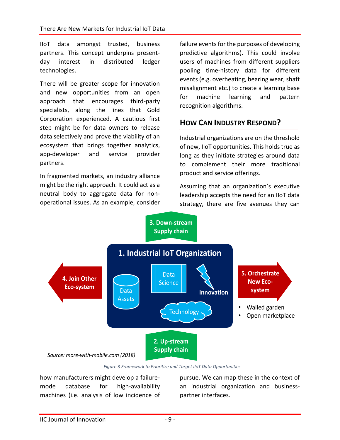IIoT data amongst trusted, business partners. This concept underpins presentday interest in distributed ledger technologies.

There will be greater scope for innovation and new opportunities from an open approach that encourages third-party specialists, along the lines that Gold Corporation experienced. A cautious first step might be for data owners to release data selectively and prove the viability of an ecosystem that brings together analytics, app-developer and service provider partners.

In fragmented markets, an industry alliance might be the right approach. It could act as a neutral body to aggregate data for nonoperational issues. As an example, consider failure events for the purposes of developing predictive algorithms). This could involve users of machines from different suppliers pooling time-history data for different events (e.g. overheating, bearing wear, shaft misalignment etc.) to create a learning base for machine learning and pattern recognition algorithms.

### **HOW CAN INDUSTRY RESPOND?**

Industrial organizations are on the threshold of new, IIoT opportunities. This holds true as long as they initiate strategies around data to complement their more traditional product and service offerings.

Assuming that an organization's executive leadership accepts the need for an IIoT data strategy, there are five avenues they can



*Figure 3 Framework to Prioritize and Target IIoT Data Opportunities*

how manufacturers might develop a failuremode database for high-availability machines (i.e. analysis of low incidence of

pursue. We can map these in the context of an industrial organization and businesspartner interfaces.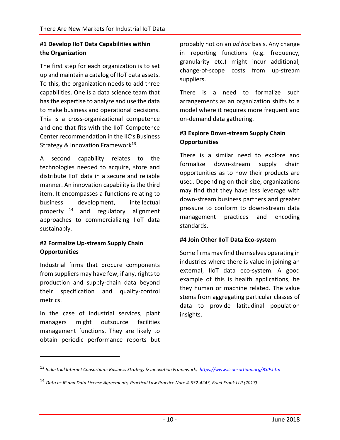#### **#1 Develop IIoT Data Capabilities within the Organization**

The first step for each organization is to set up and maintain a catalog of IIoT data assets. To this, the organization needs to add three capabilities. One is a data science team that has the expertise to analyze and use the data to make business and operational decisions. This is a cross-organizational competence and one that fits with the IIoT Competence Center recommendation in the IIC's Business Strategy & Innovation Framework<sup>13</sup>.

A second capability relates to the technologies needed to acquire, store and distribute IIoT data in a secure and reliable manner. An innovation capability is the third item. It encompasses a functions relating to business development, intellectual property  $14$  and regulatory alignment approaches to commercializing IIoT data sustainably.

#### **#2 Formalize Up-stream Supply Chain Opportunities**

Industrial firms that procure components from suppliers may have few, if any, rights to production and supply-chain data beyond their specification and quality-control metrics.

In the case of industrial services, plant managers might outsource facilities management functions. They are likely to obtain periodic performance reports but

 $\overline{a}$ 

probably not on an *ad hoc* basis. Any change in reporting functions (e.g. frequency, granularity etc.) might incur additional, change-of-scope costs from up-stream suppliers.

There is a need to formalize such arrangements as an organization shifts to a model where it requires more frequent and on-demand data gathering.

#### **#3 Explore Down-stream Supply Chain Opportunities**

There is a similar need to explore and formalize down-stream supply chain opportunities as to how their products are used. Depending on their size, organizations may find that they have less leverage with down-stream business partners and greater pressure to conform to down-stream data management practices and encoding standards.

#### **#4 Join Other IIoT Data Eco-system**

Some firms may find themselves operating in industries where there is value in joining an external, IIoT data eco-system. A good example of this is health applications, be they human or machine related. The value stems from aggregating particular classes of data to provide latitudinal population insights.

<sup>13</sup> *Industrial Internet Consortium: Business Strategy & Innovation Framework,<https://www.iiconsortium.org/BSIF.htm>*

<sup>14</sup> *Data as IP and Data License Agreements, Practical Law Practice Note 4-532-4243, Fried Frank LLP (2017)*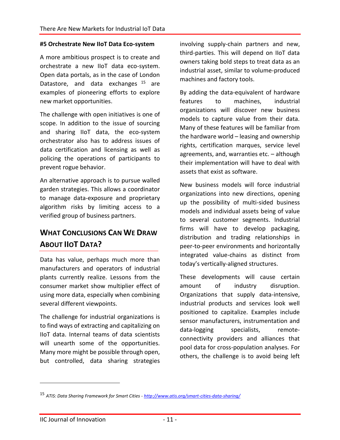#### **#5 Orchestrate New IIoT Data Eco-system**

A more ambitious prospect is to create and orchestrate a new IIoT data eco-system. Open data portals, as in the case of London Datastore, and data exchanges <sup>15</sup> are examples of pioneering efforts to explore new market opportunities.

The challenge with open initiatives is one of scope. In addition to the issue of sourcing and sharing IIoT data, the eco-system orchestrator also has to address issues of data certification and licensing as well as policing the operations of participants to prevent rogue behavior.

An alternative approach is to pursue walled garden strategies. This allows a coordinator to manage data-exposure and proprietary algorithm risks by limiting access to a verified group of business partners.

## **WHAT CONCLUSIONS CAN WE DRAW ABOUT IIOT DATA?**

Data has value, perhaps much more than manufacturers and operators of industrial plants currently realize. Lessons from the consumer market show multiplier effect of using more data, especially when combining several different viewpoints.

The challenge for industrial organizations is to find ways of extracting and capitalizing on IIoT data. Internal teams of data scientists will unearth some of the opportunities. Many more might be possible through open, but controlled, data sharing strategies

involving supply-chain partners and new, third-parties. This will depend on IIoT data owners taking bold steps to treat data as an industrial asset, similar to volume-produced machines and factory tools.

By adding the data-equivalent of hardware features to machines, industrial organizations will discover new business models to capture value from their data. Many of these features will be familiar from the hardware world – leasing and ownership rights, certification marques, service level agreements, and, warranties etc. – although their implementation will have to deal with assets that exist as software.

New business models will force industrial organizations into new directions, opening up the possibility of multi-sided business models and individual assets being of value to several customer segments. Industrial firms will have to develop packaging, distribution and trading relationships in peer-to-peer environments and horizontally integrated value-chains as distinct from today's vertically-aligned structures.

These developments will cause certain amount of industry disruption. Organizations that supply data-intensive, industrial products and services look well positioned to capitalize. Examples include sensor manufacturers, instrumentation and data-logging specialists, remoteconnectivity providers and alliances that pool data for cross-population analyses. For others, the challenge is to avoid being left

 $\overline{a}$ 

<sup>15</sup> *ATIS: Data Sharing Framework for Smart Cities - <http://www.atis.org/smart-cities-data-sharing/>*